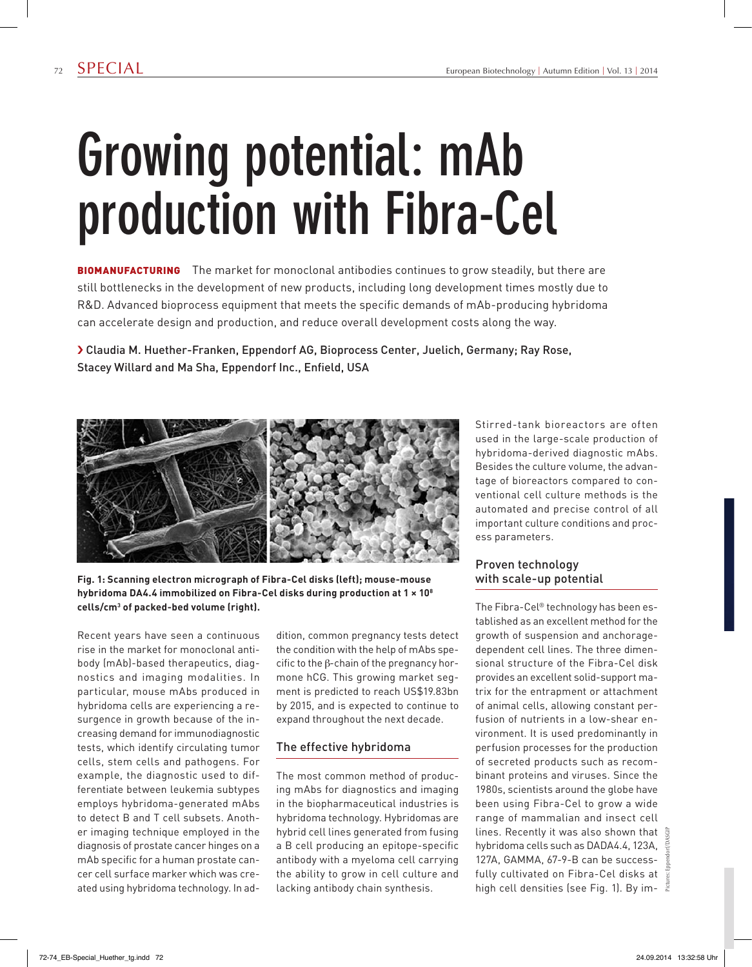# **Growing potential: mAb production with Fibra-Cel**

**BIOMANUFACTURING** The market for monoclonal antibodies continues to grow steadily, but there are still bottlenecks in the development of new products, including long development times mostly due to R&D. Advanced bioprocess equipment that meets the specific demands of mAb-producing hybridoma can accelerate design and production, and reduce overall development costs along the way.

› Claudia M. Huether-Franken, Eppendorf AG, Bioprocess Center, Juelich, Germany; Ray Rose, Stacey Willard and Ma Sha, Eppendorf Inc., Enfield, USA



**Fig. 1: Scanning electron micrograph of Fibra-Cel disks (left); mouse-mouse hybridoma DA4.4 immobilized on Fibra-Cel disks during production at 1 × 108 cells/cm3 of packed-bed volume (right).**

Recent years have seen a continuous rise in the market for monoclonal antibody (mAb)-based therapeutics, diagnostics and imaging modalities. In particular, mouse mAbs produced in hybridoma cells are experiencing a resurgence in growth because of the increasing demand for immunodiagnostic tests, which identify circulating tumor cells, stem cells and pathogens. For example, the diagnostic used to differentiate between leukemia subtypes employs hybridoma-generated mAbs to detect B and T cell subsets. Another imaging technique employed in the diagnosis of prostate cancer hinges on a mAb specific for a human prostate cancer cell surface marker which was created using hybridoma technology. In addition, common pregnancy tests detect the condition with the help of mAbs specific to the β-chain of the pregnancy hormone hCG. This growing market segment is predicted to reach US\$19.83bn by 2015, and is expected to continue to expand throughout the next decade.

### The effective hybridoma

The most common method of producing mAbs for diagnostics and imaging in the biopharmaceutical industries is hybridoma technology. Hybridomas are hybrid cell lines generated from fusing a B cell producing an epitope-specific antibody with a myeloma cell carrying the ability to grow in cell culture and lacking antibody chain synthesis.

Stirred-tank bioreactors are often used in the large-scale production of hybridoma-derived diagnostic mAbs. Besides the culture volume, the advantage of bioreactors compared to conventional cell culture methods is the automated and precise control of all important culture conditions and process parameters.

### Proven technology with scale-up potential

The Fibra-Cel® technology has been established as an excellent method for the growth of suspension and anchoragedependent cell lines. The three dimensional structure of the Fibra-Cel disk provides an excellent solid-support matrix for the entrapment or attachment of animal cells, allowing constant perfusion of nutrients in a low-shear environment. It is used predominantly in perfusion processes for the production of secreted products such as recombinant proteins and viruses. Since the 1980s, scientists around the globe have been using Fibra-Cel to grow a wide range of mammalian and insect cell lines. Recently it was also shown that hybridoma cells such as DADA4.4, 123A, 127A, GAMMA, 67-9-B can be successfully cultivated on Fibra-Cel disks at high cell densities (see Fig. 1). By im-

Pictures: Eppendorf/DASGIP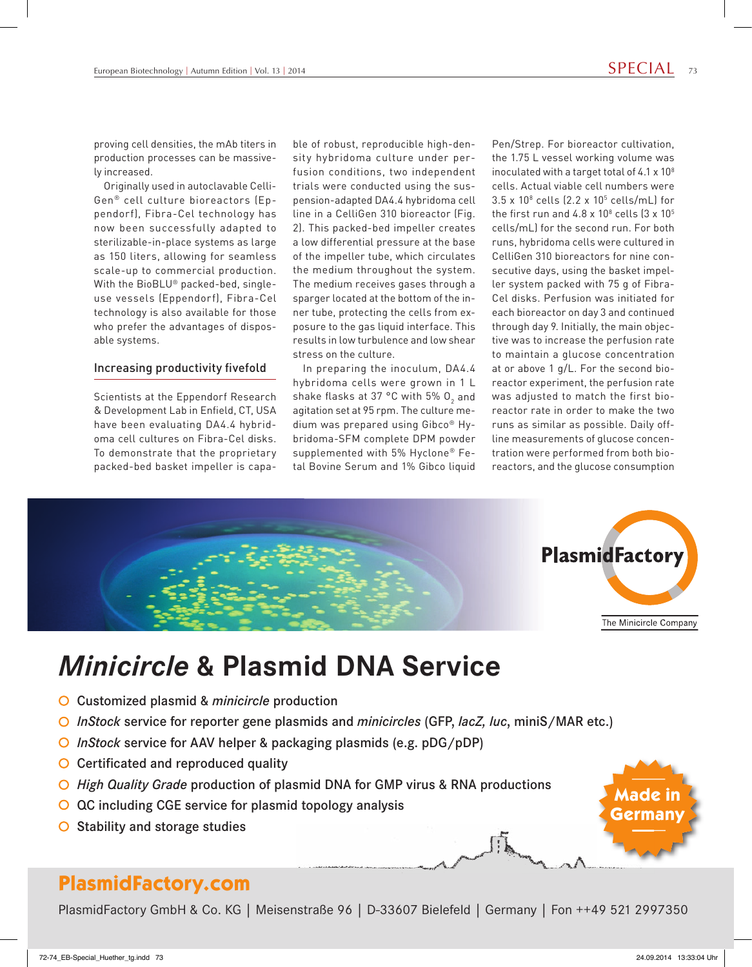**Made in Germany**

proving cell densities, the mAb titers in production processes can be massively increased.

Originally used in autoclavable Celli-Gen® cell culture bioreactors (Eppendorf), Fibra-Cel technology has now been successfully adapted to sterilizable-in-place systems as large as 150 liters, allowing for seamless scale-up to commercial production. With the BioBLU® packed-bed, singleuse vessels (Eppendorf), Fibra-Cel technology is also available for those who prefer the advantages of disposable systems.

#### Increasing productivity fivefold

Scientists at the Eppendorf Research & Development Lab in Enfield, CT, USA have been evaluating DA4.4 hybridoma cell cultures on Fibra-Cel disks. To demonstrate that the proprietary packed-bed basket impeller is capable of robust, reproducible high-density hybridoma culture under perfusion conditions, two independent trials were conducted using the suspension-adapted DA4.4 hybridoma cell line in a CelliGen 310 bioreactor (Fig. 2). This packed-bed impeller creates a low differential pressure at the base of the impeller tube, which circulates the medium throughout the system. The medium receives gases through a sparger located at the bottom of the inner tube, protecting the cells from exposure to the gas liquid interface. This results in low turbulence and low shear stress on the culture.

In preparing the inoculum, DA4.4 hybridoma cells were grown in 1 L shake flasks at 37 °C with 5%  ${\mathsf O}_2$  and agitation set at 95 rpm. The culture medium was prepared using Gibco® Hybridoma-SFM complete DPM powder supplemented with 5% Hyclone® Fetal Bovine Serum and 1% Gibco liquid Pen/Strep. For bioreactor cultivation, the 1.75 L vessel working volume was inoculated with a target total of 4.1 x 108 cells. Actual viable cell numbers were  $3.5 \times 10^8$  cells (2.2 x 10<sup>5</sup> cells/mL) for the first run and  $4.8 \times 10^8$  cells  $(3 \times 10^5$ cells/mL) for the second run. For both runs, hybridoma cells were cultured in CelliGen 310 bioreactors for nine consecutive days, using the basket impeller system packed with 75 g of Fibra-Cel disks. Perfusion was initiated for each bioreactor on day 3 and continued through day 9. Initially, the main objective was to increase the perfusion rate to maintain a glucose concentration at or above 1 g/L. For the second bioreactor experiment, the perfusion rate was adjusted to match the first bioreactor rate in order to make the two runs as similar as possible. Daily offline measurements of glucose concentration were performed from both bioreactors, and the glucose consumption



## *Minicircle* **& Plasmid DNA Service**

- Customized plasmid & *minicircle* production
- *InStock* service for reporter gene plasmids and *minicircles* (GFP, *lacZ, luc*, miniS/MAR etc.)
- *InStock* service for AAV helper & packaging plasmids (e.g. pDG/pDP)
- $\bigcirc$  Certificated and reproduced quality
- *High Quality Grade* production of plasmid DNA for GMP virus & RNA productions
- QC including CGE service for plasmid topology analysis  $\circ$
- Stability and storage studies  $\circ$

### **PlasmidFactory.com**

PlasmidFactory GmbH & Co. KG | Meisenstraße 96 | D-33607 Bielefeld | Germany | Fon ++49 521 2997350